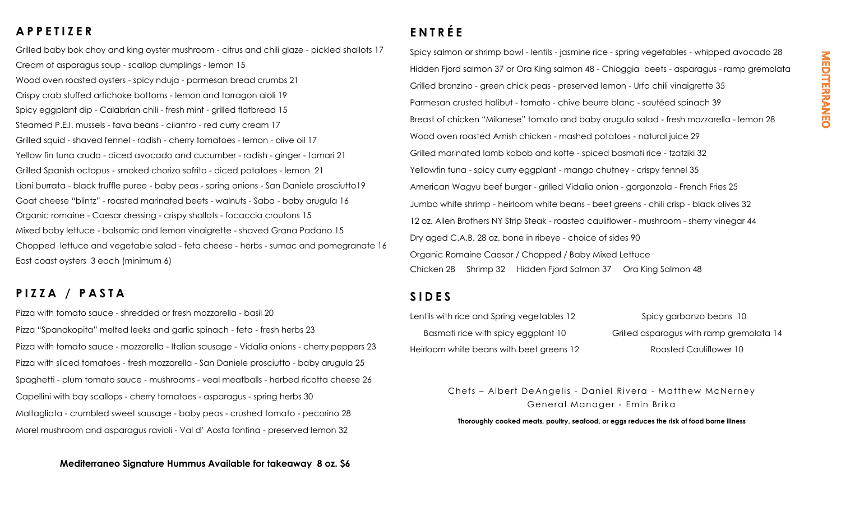## **A P P E T I Z E R**

Grilled baby bok choy and king oyster mushroom - citrus and chili glaze - pickled shallots 17 Cream of asparagus soup - scallop dumplings - lemon 15 Wood oven roasted oysters - spicy nduja - parmesan bread crumbs 21 Crispy crab stuffed artichoke bottoms - lemon and tarragon aioli 19 Spicy eggplant dip - Calabrian chili - fresh mint - grilled flatbread 15 Steamed P.E.I. mussels - fava beans - cilantro - red curry cream 17 Grilled squid - shaved fennel - radish - cherry tomatoes - lemon - olive oil 17 Yellow fin tuna crudo - diced avocado and cucumber - radish - ginger - tamari 21 Grilled Spanish octopus - smoked chorizo sofrito - diced potatoes - lemon 21 Lioni burrata - black truffle puree - baby peas - spring onions - San Daniele prosciutto19 Goat cheese "blintz" - roasted marinated beets - walnuts - Saba - baby arugula 16 Organic romaine - Caesar dressing - crispy shallots - focaccia croutons 15 Mixed baby lettuce - balsamic and lemon vinaigrette - shaved Grana Padano 15 Chopped lettuce and vegetable salad - feta cheese - herbs - sumac and pomegranate 16 East coast oysters 3 each (minimum 6)

## **P I Z Z A / P A S T A**

Pizza with tomato sauce - shredded or fresh mozzarella - basil 20 Pizza "Spanakopita" melted leeks and garlic spinach - feta - fresh herbs 23 Pizza with tomato sauce - mozzarella - Italian sausage - Vidalia onions - cherry peppers 23 Pizza with sliced tomatoes - fresh mozzarella - San Daniele prosciutto - baby arugula 25 Spaghetti - plum tomato sauce - mushrooms - veal meatballs - herbed ricotta cheese 26 Capellini with bay scallops - cherry tomatoes - asparagus - spring herbs 30 Maltagliata - crumbled sweet sausage - baby peas - crushed tomato - pecorino 28 Morel mushroom and asparagus ravioli - Val d' Aosta fontina - preserved lemon 32

## **E N T R É E**

Spicy salmon or shrimp bowl - lentils - jasmine rice - spring vegetables - whipped avocado 28 Hidden Fjord salmon 37 or Ora King salmon 48 - Chioggia beets - asparagus - ramp gremolata Grilled bronzino - green chick peas - preserved lemon - Urfa chili vinaigrette 35 Parmesan crusted halibut - tomato - chive beurre blanc - sautéed spinach 39 Breast of chicken "Milanese" tomato and baby arugula salad - fresh mozzarella - lemon 28 Wood oven roasted Amish chicken - mashed potatoes - natural juice 29 Grilled marinated lamb kabob and kofte - spiced basmati rice - tzatziki 32 Yellowfin tuna - spicy curry eggplant - mango chutney - crispy fennel 35 American Wagyu beef burger - grilled Vidalia onion - gorgonzola - French Fries 25 Jumbo white shrimp - heirloom white beans - beet greens - chili crisp - black olives 32 12 oz. Allen Brothers NY Strip Steak - roasted cauliflower - mushroom - sherry vinegar 44 Dry aged C.A.B. 28 oz. bone in ribeye - choice of sides 90 Organic Romaine Caesar / Chopped / Baby Mixed Lettuce Chicken 28 Shrimp 32 Hidden Fjord Salmon 37 Ora King Salmon 48

## **S I D E S**

Lentils with rice and Spring vegetables 12 Spicy garbanzo beans 10 Basmati rice with spicy eggplant 10 Grilled asparagus with ramp gremolata 14 Heirloom white beans with beet greens 12 Roasted Cauliflower 10

Chefs – Albert De Angelis - Daniel Rivera - Matthew McNerney General Manager - Emin Brika

**Thoroughly cooked meats, poultry, seafood, or eggs reduces the risk of food borne illness**